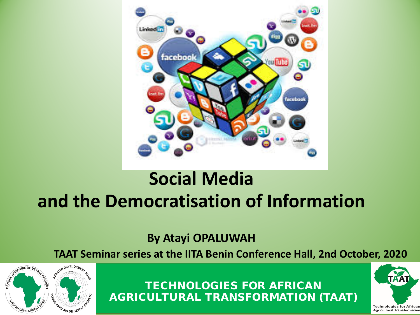

## **Social Media and the Democratisation of Information**

**By Atayi OPALUWAH**

**TAAT Seminar series at the IITA Benin Conference Hall, 2nd October, 2020** 



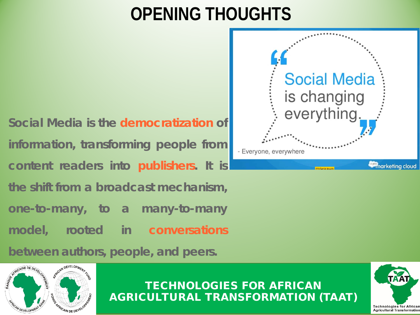## **OPENING THOUGHTS**

**Social Media is the democratization of information, transforming people from content readers into publishers. It is the shift from a broadcast mechanism, one-to-many, to a many-to-many model, rooted in conversations**

**between authors, people, and peers.**





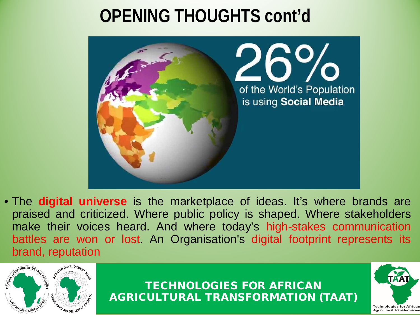## **OPENING THOUGHTS cont'd**



• The **digital universe** is the marketplace of ideas. It's where brands are praised and criticized. Where public policy is shaped. Where stakeholders make their voices heard. And where today's high-stakes communication battles are won or lost. An Organisation's digital footprint represents its brand, reputation



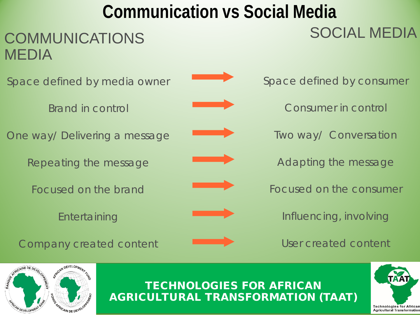# **Communication vs Social Media**  SOCIAL MEDIA



**Entertaining** 





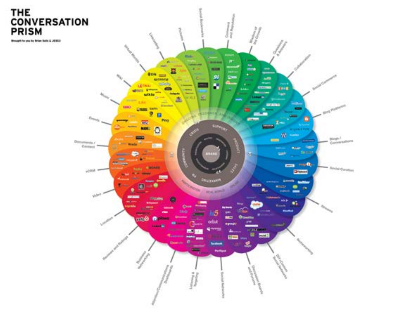# THE<br>CONVERSATION<br>PRISM

Brought to you by firter both & JESSE

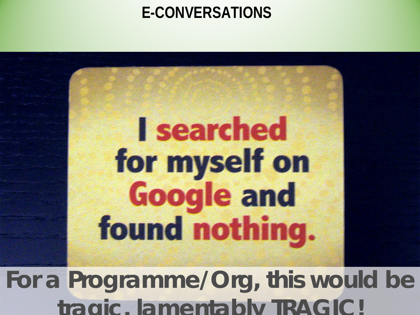### **E-CONVERSATIONS**



For a Programme/Org, this would be AGRICULTURAL TRANSFORMATION (TAAT) **tragic, lamentably TRAGIC!**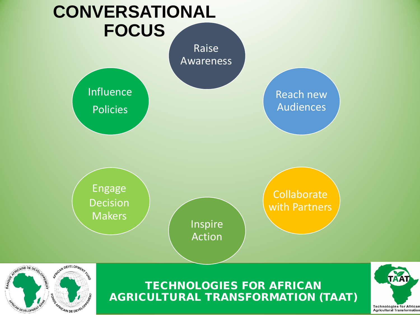

**WDEVELOPME**